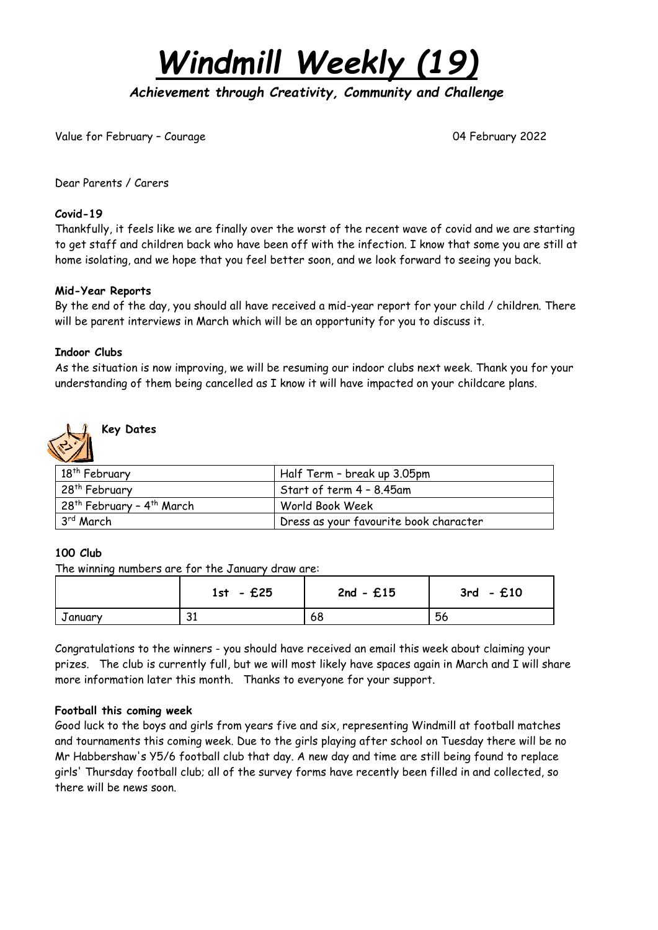*Windmill Weekly (19)*

*Achievement through Creativity, Community and Challenge* 

Value for February - Courage 04 February 2022

Dear Parents / Carers

### **Covid-19**

Thankfully, it feels like we are finally over the worst of the recent wave of covid and we are starting to get staff and children back who have been off with the infection. I know that some you are still at home isolating, and we hope that you feel better soon, and we look forward to seeing you back.

### **Mid-Year Reports**

By the end of the day, you should all have received a mid-year report for your child / children. There will be parent interviews in March which will be an opportunity for you to discuss it.

### **Indoor Clubs**

As the situation is now improving, we will be resuming our indoor clubs next week. Thank you for your understanding of them being cancelled as I know it will have impacted on your childcare plans.



### **Key Dates**

| $\sim$                                              |                                        |  |
|-----------------------------------------------------|----------------------------------------|--|
| 18th February                                       | Half Term - break up 3.05pm            |  |
| 28 <sup>th</sup> February                           | Start of term 4 – 8.45am               |  |
| . 28 <sup>th</sup> February - 4 <sup>th</sup> March | World Book Week                        |  |
| 3rd March                                           | Dress as your favourite book character |  |

### **100 Club**

The winning numbers are for the January draw are:

|                | $1st - £25$        | $2nd - £15$ | £10<br>3rd<br>$\overline{\phantom{a}}$ |
|----------------|--------------------|-------------|----------------------------------------|
| <b>Januarv</b> | $\mathbf{C}$<br>ັບ | 68          | 56                                     |

Congratulations to the winners - you should have received an email this week about claiming your prizes. The club is currently full, but we will most likely have spaces again in March and I will share more information later this month. Thanks to everyone for your support.

### **Football this coming week**

Good luck to the boys and girls from years five and six, representing Windmill at football matches and tournaments this coming week. Due to the girls playing after school on Tuesday there will be no Mr Habbershaw's Y5/6 football club that day. A new day and time are still being found to replace girls' Thursday football club; all of the survey forms have recently been filled in and collected, so there will be news soon.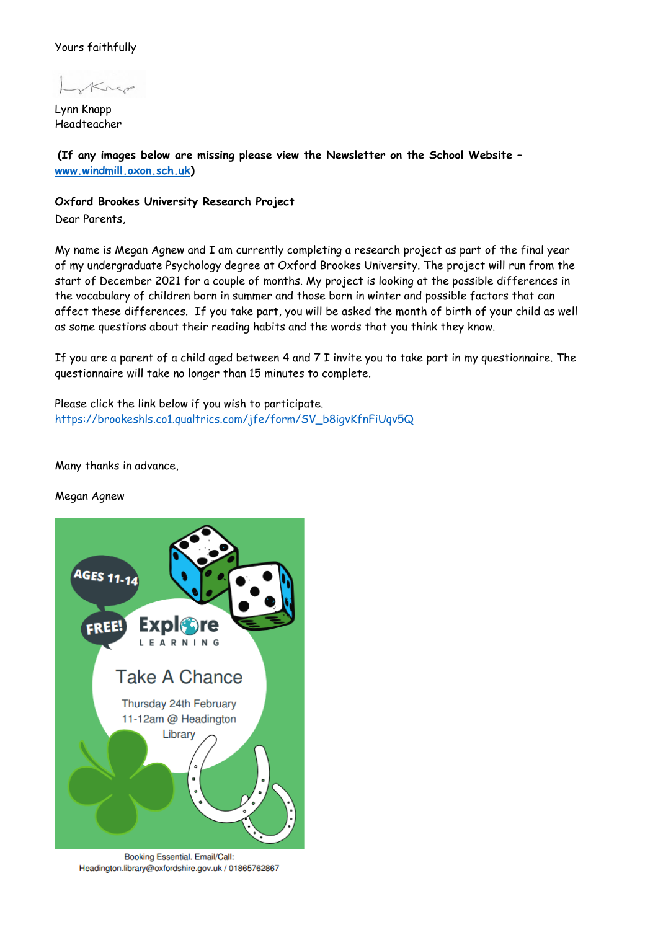### Yours faithfully

Lynn Knapp Headteacher

 **(If any images below are missing please view the Newsletter on the School Website – [www.windmill.oxon.sch.uk\)](http://www.windmill.oxon.sch.uk/)**

### **Oxford Brookes University Research Project**

Dear Parents,

My name is Megan Agnew and I am currently completing a research project as part of the final year of my undergraduate Psychology degree at Oxford Brookes University. The project will run from the start of December 2021 for a couple of months. My project is looking at the possible differences in the vocabulary of children born in summer and those born in winter and possible factors that can affect these differences. If you take part, you will be asked the month of birth of your child as well as some questions about their reading habits and the words that you think they know.

If you are a parent of a child aged between 4 and 7 I invite you to take part in my questionnaire. The questionnaire will take no longer than 15 minutes to complete.

Please click the link below if you wish to participate. [https://brookeshls.co1.qualtrics.com/jfe/form/SV\\_b8igvKfnFiUqv5Q](https://brookeshls.co1.qualtrics.com/jfe/form/SV_b8igvKfnFiUqv5Q)

Many thanks in advance,

### Megan Agnew



Booking Essential. Email/Call: Headington.library@oxfordshire.gov.uk / 01865762867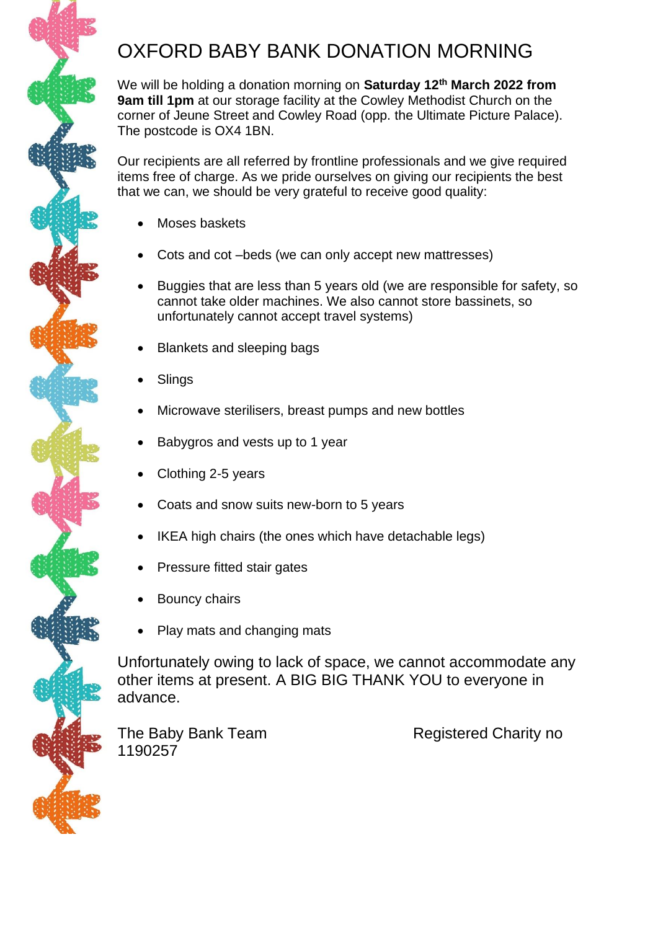## OXFORD BABY BANK DONATION MORNING

We will be holding a donation morning on **Saturday 12th March 2022 from 9am till 1pm** at our storage facility at the Cowley Methodist Church on the corner of Jeune Street and Cowley Road (opp. the Ultimate Picture Palace). The postcode is OX4 1BN.

Our recipients are all referred by frontline professionals and we give required items free of charge. As we pride ourselves on giving our recipients the best that we can, we should be very grateful to receive good quality:

- Moses baskets
- Cots and cot –beds (we can only accept new mattresses)
- Buggies that are less than 5 years old (we are responsible for safety, so cannot take older machines. We also cannot store bassinets, so unfortunately cannot accept travel systems)
- Blankets and sleeping bags
- **Slings**
- Microwave sterilisers, breast pumps and new bottles
- Babygros and vests up to 1 year
- Clothing 2-5 years
- Coats and snow suits new-born to 5 years
- IKEA high chairs (the ones which have detachable legs)
- Pressure fitted stair gates
- Bouncy chairs
- Play mats and changing mats

Unfortunately owing to lack of space, we cannot accommodate any other items at present. A BIG BIG THANK YOU to everyone in advance.

The Baby Bank Team Registered Charity no 1190257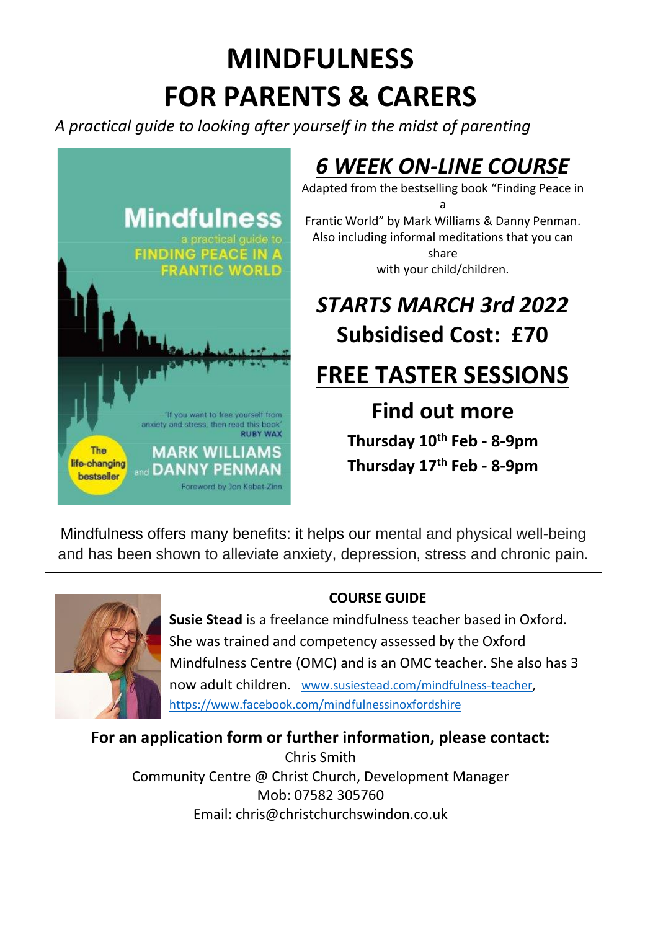# **MINDFULNESS FOR PARENTS & CARERS**

*A practical guide to looking after yourself in the midst of parenting*



## *6 WEEK ON-LINE COURSE*

Adapted from the bestselling book "Finding Peace in a Frantic World" by Mark Williams & Danny Penman. Also including informal meditations that you can share with your child/children.

## *STARTS MARCH 3rd 2022* **Subsidised Cost: £70**

## **FREE TASTER SESSIONS**

**Find out more**

**Thursday 10th Feb - 8-9pm Thursday 17th Feb - 8-9pm**

Mindfulness offers many benefits: it helps our mental and physical well-being and has been shown to alleviate anxiety, depression, stress and chronic pain.



### **COURSE GUIDE**

**Susie Stead** is a freelance mindfulness teacher based in Oxford. She was trained and competency assessed by the Oxford Mindfulness Centre (OMC) and is an OMC teacher. She also has 3 now adult children. [www.susiestead.com/mindfulness-teacher,](http://www.susiestead.com/mindfulness-teacher) <https://www.facebook.com/mindfulnessinoxfordshire>

**For an application form or further information, please contact:** 

Chris Smith Community Centre @ Christ Church, Development Manager Mob: 07582 305760 Email: [chris@christchurchswindon.co.uk](mailto:chris@christchurchswindon.co.uk)